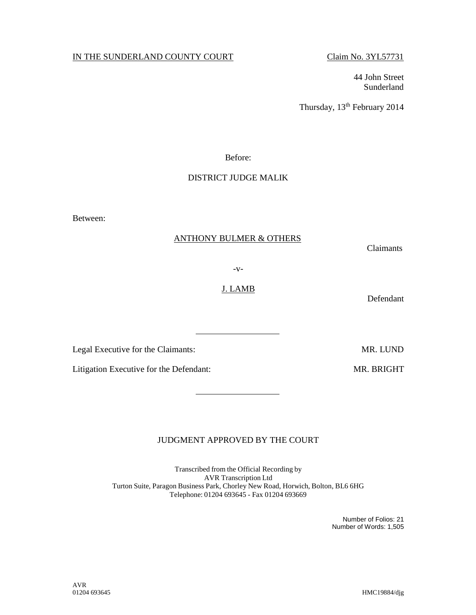## IN THE SUNDERLAND COUNTY COURT Claim No. 3YL57731

44 John Street Sunderland

Thursday, 13<sup>th</sup> February 2014

Before:

## DISTRICT JUDGE MALIK

Between:

#### ANTHONY BULMER & OTHERS

Claimants

-v-

Defendant

Legal Executive for the Claimants: MR. LUND

Litigation Executive for the Defendant: MR. BRIGHT

# JUDGMENT APPROVED BY THE COURT

Transcribed from the Official Recording by AVR Transcription Ltd Turton Suite, Paragon Business Park, Chorley New Road, Horwich, Bolton, BL6 6HG Telephone: 01204 693645 - Fax 01204 693669

> Number of Folios: 21 Number of Words: 1,505

AVR<br>01204 693645

HMC19884/djg

J. LAMB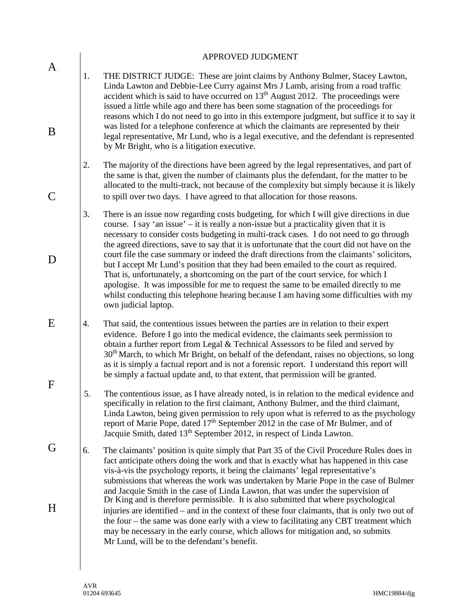|             | APPROVED JUDGMENT                                                                                                                                                                                                                                                                                                                                                                                                                                                                                                                                                                                                                                                                                                                                                                                                                                                             |
|-------------|-------------------------------------------------------------------------------------------------------------------------------------------------------------------------------------------------------------------------------------------------------------------------------------------------------------------------------------------------------------------------------------------------------------------------------------------------------------------------------------------------------------------------------------------------------------------------------------------------------------------------------------------------------------------------------------------------------------------------------------------------------------------------------------------------------------------------------------------------------------------------------|
| A<br>B      | THE DISTRICT JUDGE: These are joint claims by Anthony Bulmer, Stacey Lawton,<br>1.<br>Linda Lawton and Debbie-Lee Curry against Mrs J Lamb, arising from a road traffic<br>accident which is said to have occurred on 13 <sup>th</sup> August 2012. The proceedings were<br>issued a little while ago and there has been some stagnation of the proceedings for<br>reasons which I do not need to go into in this extempore judgment, but suffice it to say it<br>was listed for a telephone conference at which the claimants are represented by their<br>legal representative, Mr Lund, who is a legal executive, and the defendant is represented<br>by Mr Bright, who is a litigation executive.                                                                                                                                                                          |
|             | The majority of the directions have been agreed by the legal representatives, and part of<br>2.<br>the same is that, given the number of claimants plus the defendant, for the matter to be<br>allocated to the multi-track, not because of the complexity but simply because it is likely<br>to spill over two days. I have agreed to that allocation for those reasons.                                                                                                                                                                                                                                                                                                                                                                                                                                                                                                     |
| D           | 3.<br>There is an issue now regarding costs budgeting, for which I will give directions in due<br>course. I say 'an issue' $-$ it is really a non-issue but a practicality given that it is<br>necessary to consider costs budgeting in multi-track cases. I do not need to go through<br>the agreed directions, save to say that it is unfortunate that the court did not have on the<br>court file the case summary or indeed the draft directions from the claimants' solicitors,<br>but I accept Mr Lund's position that they had been emailed to the court as required.<br>That is, unfortunately, a shortcoming on the part of the court service, for which I<br>apologise. It was impossible for me to request the same to be emailed directly to me<br>whilst conducting this telephone hearing because I am having some difficulties with my<br>own judicial laptop. |
| E           | That said, the contentious issues between the parties are in relation to their expert<br>4.<br>evidence. Before I go into the medical evidence, the claimants seek permission to<br>obtain a further report from Legal & Technical Assessors to be filed and served by<br>30 <sup>th</sup> March, to which Mr Bright, on behalf of the defendant, raises no objections, so long<br>as it is simply a factual report and is not a forensic report. I understand this report will<br>be simply a factual update and, to that extent, that permission will be granted.                                                                                                                                                                                                                                                                                                           |
| $\mathbf F$ | 5.<br>The contentious issue, as I have already noted, is in relation to the medical evidence and<br>specifically in relation to the first claimant, Anthony Bulmer, and the third claimant,<br>Linda Lawton, being given permission to rely upon what is referred to as the psychology<br>report of Marie Pope, dated 17 <sup>th</sup> September 2012 in the case of Mr Bulmer, and of<br>Jacquie Smith, dated 13 <sup>th</sup> September 2012, in respect of Linda Lawton.                                                                                                                                                                                                                                                                                                                                                                                                   |
| G           | 6.<br>The claimants' position is quite simply that Part 35 of the Civil Procedure Rules does in<br>fact anticipate others doing the work and that is exactly what has happened in this case<br>vis-à-vis the psychology reports, it being the claimants' legal representative's<br>submissions that whereas the work was undertaken by Marie Pope in the case of Bulmer<br>and Jacquie Smith in the case of Linda Lawton, that was under the supervision of                                                                                                                                                                                                                                                                                                                                                                                                                   |
| H           | Dr King and is therefore permissible. It is also submitted that where psychological<br>injuries are identified – and in the context of these four claimants, that is only two out of<br>the four – the same was done early with a view to facilitating any CBT treatment which<br>may be necessary in the early course, which allows for mitigation and, so submits<br>Mr Lund, will be to the defendant's benefit.                                                                                                                                                                                                                                                                                                                                                                                                                                                           |
|             |                                                                                                                                                                                                                                                                                                                                                                                                                                                                                                                                                                                                                                                                                                                                                                                                                                                                               |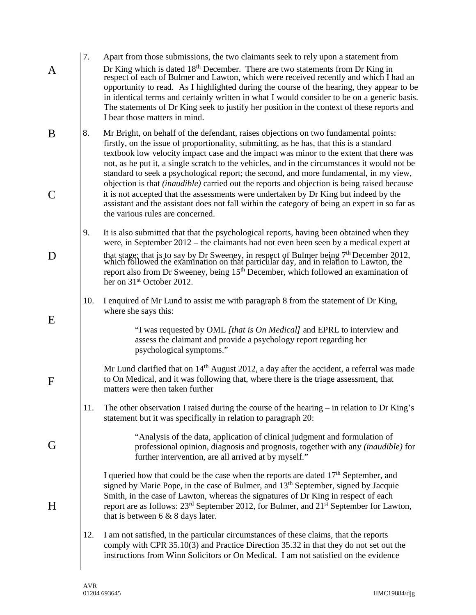|             | 7.  | Apart from those submissions, the two claimants seek to rely upon a statement from                                                                                                                                                                                                                                                                                                                                                                                                                                                                                                                                                                                                                                                                                   |
|-------------|-----|----------------------------------------------------------------------------------------------------------------------------------------------------------------------------------------------------------------------------------------------------------------------------------------------------------------------------------------------------------------------------------------------------------------------------------------------------------------------------------------------------------------------------------------------------------------------------------------------------------------------------------------------------------------------------------------------------------------------------------------------------------------------|
| A           |     | Dr King which is dated 18 <sup>th</sup> December. There are two statements from Dr King in respect of each of Bulmer and Lawton, which were received recently and which I had an<br>opportunity to read. As I highlighted during the course of the hearing, they appear to be<br>in identical terms and certainly written in what I would consider to be on a generic basis.<br>The statements of Dr King seek to justify her position in the context of these reports and<br>I bear those matters in mind.                                                                                                                                                                                                                                                          |
| B           | 8.  | Mr Bright, on behalf of the defendant, raises objections on two fundamental points:<br>firstly, on the issue of proportionality, submitting, as he has, that this is a standard<br>textbook low velocity impact case and the impact was minor to the extent that there was<br>not, as he put it, a single scratch to the vehicles, and in the circumstances it would not be<br>standard to seek a psychological report; the second, and more fundamental, in my view,<br>objection is that <i>(inaudible)</i> carried out the reports and objection is being raised because<br>it is not accepted that the assessments were undertaken by Dr King but indeed by the<br>assistant and the assistant does not fall within the category of being an expert in so far as |
|             |     | the various rules are concerned.                                                                                                                                                                                                                                                                                                                                                                                                                                                                                                                                                                                                                                                                                                                                     |
|             | 9.  | It is also submitted that that the psychological reports, having been obtained when they<br>were, in September 2012 – the claimants had not even been seen by a medical expert at                                                                                                                                                                                                                                                                                                                                                                                                                                                                                                                                                                                    |
| D           |     | that stage; that is to say by Dr Sweeney, in respect of Bulmer being 7 <sup>th</sup> December 2012, which followed the examination on that particular day, and in relation to Lawton, the<br>report also from Dr Sweeney, being 15 <sup>th</sup> December, which followed an examination of<br>her on 31 <sup>st</sup> October 2012.                                                                                                                                                                                                                                                                                                                                                                                                                                 |
| E           | 10. | I enquired of Mr Lund to assist me with paragraph 8 from the statement of Dr King,<br>where she says this:                                                                                                                                                                                                                                                                                                                                                                                                                                                                                                                                                                                                                                                           |
|             |     | "I was requested by OML [that is On Medical] and EPRL to interview and<br>assess the claimant and provide a psychology report regarding her<br>psychological symptoms."                                                                                                                                                                                                                                                                                                                                                                                                                                                                                                                                                                                              |
| $\mathbf F$ |     | Mr Lund clarified that on $14th$ August 2012, a day after the accident, a referral was made<br>to On Medical, and it was following that, where there is the triage assessment, that<br>matters were then taken further                                                                                                                                                                                                                                                                                                                                                                                                                                                                                                                                               |
|             | 11. | The other observation I raised during the course of the hearing – in relation to Dr King's<br>statement but it was specifically in relation to paragraph 20:                                                                                                                                                                                                                                                                                                                                                                                                                                                                                                                                                                                                         |
| G           |     | "Analysis of the data, application of clinical judgment and formulation of<br>professional opinion, diagnosis and prognosis, together with any (inaudible) for<br>further intervention, are all arrived at by myself."                                                                                                                                                                                                                                                                                                                                                                                                                                                                                                                                               |
| H           |     | I queried how that could be the case when the reports are dated 17 <sup>th</sup> September, and<br>signed by Marie Pope, in the case of Bulmer, and 13 <sup>th</sup> September, signed by Jacquie<br>Smith, in the case of Lawton, whereas the signatures of Dr King in respect of each<br>report are as follows: 23 <sup>rd</sup> September 2012, for Bulmer, and 21 <sup>st</sup> September for Lawton,<br>that is between $6 \& 8$ days later.                                                                                                                                                                                                                                                                                                                    |
|             | 12. | I am not satisfied, in the particular circumstances of these claims, that the reports<br>comply with CPR 35.10(3) and Practice Direction 35.32 in that they do not set out the<br>instructions from Winn Solicitors or On Medical. I am not satisfied on the evidence                                                                                                                                                                                                                                                                                                                                                                                                                                                                                                |
|             |     |                                                                                                                                                                                                                                                                                                                                                                                                                                                                                                                                                                                                                                                                                                                                                                      |